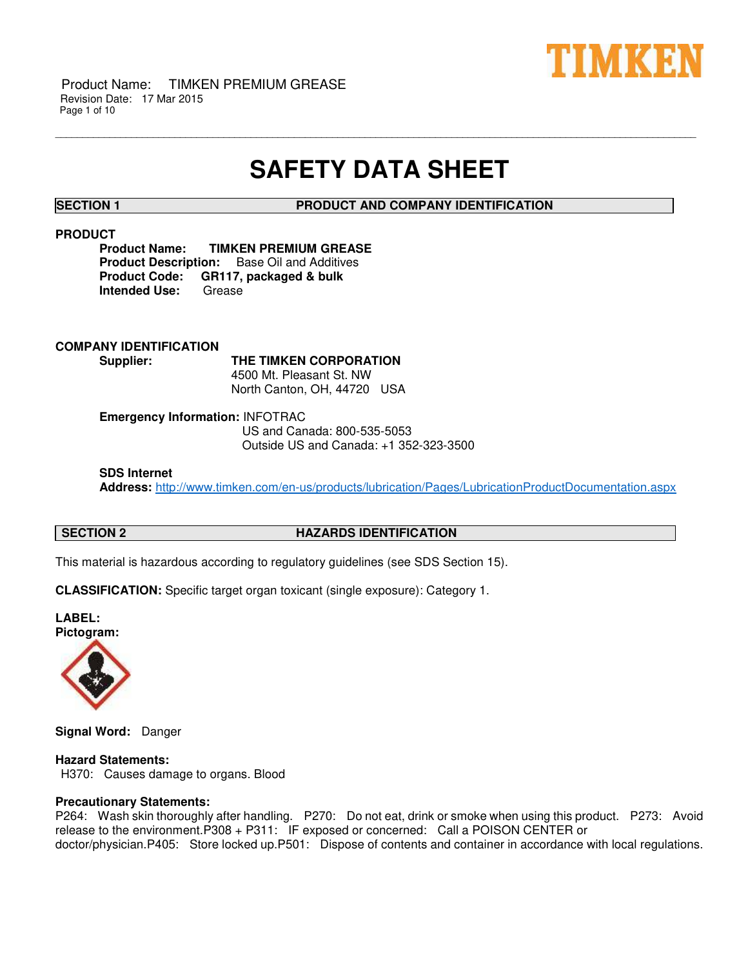

# **SAFETY DATA SHEET**

\_\_\_\_\_\_\_\_\_\_\_\_\_\_\_\_\_\_\_\_\_\_\_\_\_\_\_\_\_\_\_\_\_\_\_\_\_\_\_\_\_\_\_\_\_\_\_\_\_\_\_\_\_\_\_\_\_\_\_\_\_\_\_\_\_\_\_\_\_\_\_\_\_\_\_\_\_\_\_\_\_\_\_\_\_\_\_\_\_\_\_\_\_\_\_\_\_\_\_\_\_\_\_\_\_\_\_\_\_\_\_\_\_\_\_\_\_\_

**SECTION 1 PRODUCT AND COMPANY IDENTIFICATION**

# **PRODUCT**

**Product Name: TIMKEN PREMIUM GREASE Product Description:** Base Oil and Additives **Product Code: GR117, packaged & bulk Intended Use:** Grease

**COMPANY IDENTIFICATION Supplier: THE TIMKEN CORPORATION** 4500 Mt. Pleasant St. NW North Canton, OH, 44720 USA

**Emergency Information:** INFOTRAC

 US and Canada: 800-535-5053 Outside US and Canada: +1 352-323-3500

**SDS Internet** 

**Address:** <http://www.timken.com/en-us/products/lubrication/Pages/LubricationProductDocumentation.aspx>

# **SECTION 2 HAZARDS IDENTIFICATION**

This material is hazardous according to regulatory guidelines (see SDS Section 15).

**CLASSIFICATION:** Specific target organ toxicant (single exposure): Category 1.





**Signal Word:** Danger

# **Hazard Statements:**

H370: Causes damage to organs. Blood

# **Precautionary Statements:**

P264: Wash skin thoroughly after handling. P270: Do not eat, drink or smoke when using this product. P273: Avoid release to the environment.P308 + P311: IF exposed or concerned: Call a POISON CENTER or doctor/physician.P405: Store locked up.P501: Dispose of contents and container in accordance with local regulations.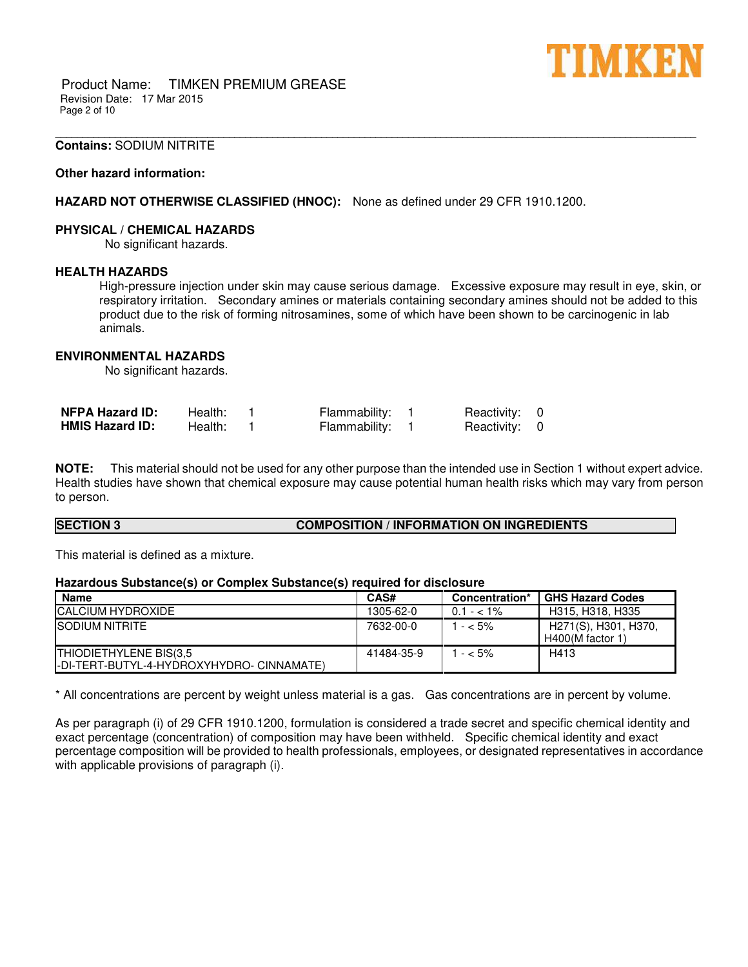

Product Name: TIMKEN PREMIUM GREASE Revision Date: 17 Mar 2015 Page 2 of 10

### **Contains:** SODIUM NITRITE

### **Other hazard information:**

# **HAZARD NOT OTHERWISE CLASSIFIED (HNOC):** None as defined under 29 CFR 1910.1200.

### **PHYSICAL / CHEMICAL HAZARDS**

No significant hazards.

## **HEALTH HAZARDS**

High-pressure injection under skin may cause serious damage. Excessive exposure may result in eye, skin, or respiratory irritation. Secondary amines or materials containing secondary amines should not be added to this product due to the risk of forming nitrosamines, some of which have been shown to be carcinogenic in lab animals.

\_\_\_\_\_\_\_\_\_\_\_\_\_\_\_\_\_\_\_\_\_\_\_\_\_\_\_\_\_\_\_\_\_\_\_\_\_\_\_\_\_\_\_\_\_\_\_\_\_\_\_\_\_\_\_\_\_\_\_\_\_\_\_\_\_\_\_\_\_\_\_\_\_\_\_\_\_\_\_\_\_\_\_\_\_\_\_\_\_\_\_\_\_\_\_\_\_\_\_\_\_\_\_\_\_\_\_\_\_\_\_\_\_\_\_\_\_\_

# **ENVIRONMENTAL HAZARDS**

No significant hazards.

| <b>NFPA Hazard ID:</b> | Health: | Flammability: | Reactivity: 0 |  |
|------------------------|---------|---------------|---------------|--|
| <b>HMIS Hazard ID:</b> | Health: | Flammability: | Reactivity: 0 |  |

**NOTE:** This material should not be used for any other purpose than the intended use in Section 1 without expert advice. Health studies have shown that chemical exposure may cause potential human health risks which may vary from person to person.

### **SECTION 3 COMPOSITION / INFORMATION ON INGREDIENTS**

This material is defined as a mixture.

### **Hazardous Substance(s) or Complex Substance(s) required for disclosure**

| <b>Name</b>                                | CAS#       | Concentration* | <b>GHS Hazard Codes</b> |
|--------------------------------------------|------------|----------------|-------------------------|
| <b>ICALCIUM HYDROXIDE</b>                  | 1305-62-0  | $0.1 - 1\%$    | H315, H318, H335        |
| <b>SODIUM NITRITE</b>                      | 7632-00-0  | $1 - 5\%$      | H271(S), H301, H370,    |
|                                            |            |                | $H400(M$ factor 1)      |
| THIODIETHYLENE BIS(3,5                     | 41484-35-9 | $- < 5\%$      | H413                    |
| I-DI-TERT-BUTYL-4-HYDROXYHYDRO- CINNAMATE) |            |                |                         |

\* All concentrations are percent by weight unless material is a gas. Gas concentrations are in percent by volume.

As per paragraph (i) of 29 CFR 1910.1200, formulation is considered a trade secret and specific chemical identity and exact percentage (concentration) of composition may have been withheld. Specific chemical identity and exact percentage composition will be provided to health professionals, employees, or designated representatives in accordance with applicable provisions of paragraph (i).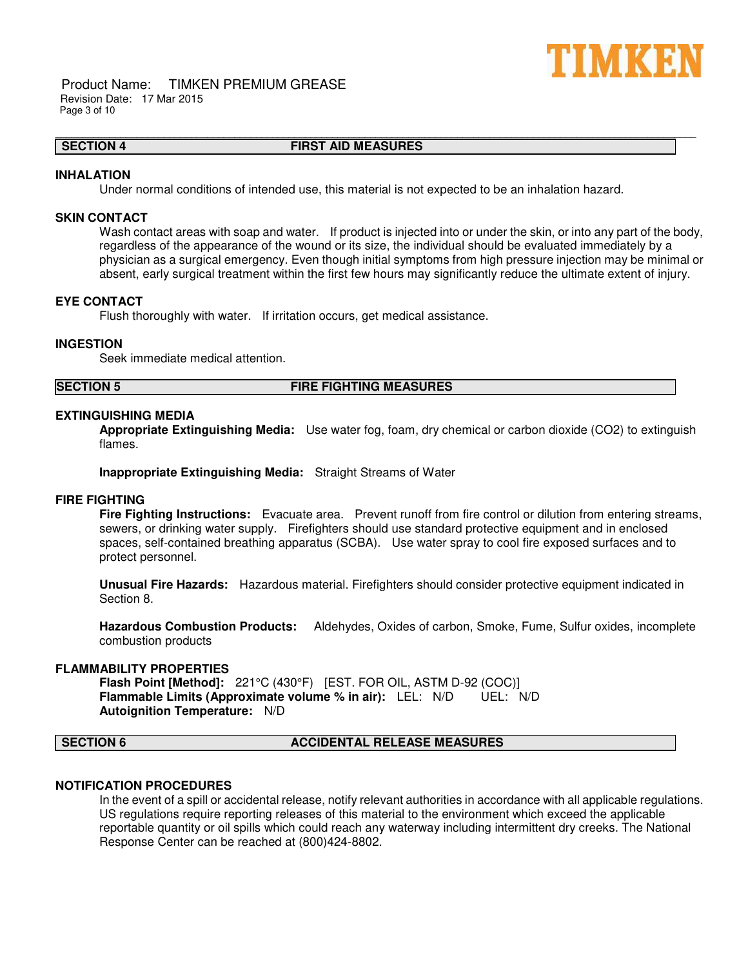

Product Name: TIMKEN PREMIUM GREASE Revision Date: 17 Mar 2015 Page 3 of 10

# **SECTION 4 FIRST AID MEASURES**

\_\_\_\_\_\_\_\_\_\_\_\_\_\_\_\_\_\_\_\_\_\_\_\_\_\_\_\_\_\_\_\_\_\_\_\_\_\_\_\_\_\_\_\_\_\_\_\_\_\_\_\_\_\_\_\_\_\_\_\_\_\_\_\_\_\_\_\_\_\_\_\_\_\_\_\_\_\_\_\_\_\_\_\_\_\_\_\_\_\_\_\_\_\_\_\_\_\_\_\_\_\_\_\_\_\_\_\_\_\_\_\_\_\_\_\_\_\_

### **INHALATION**

Under normal conditions of intended use, this material is not expected to be an inhalation hazard.

# **SKIN CONTACT**

Wash contact areas with soap and water. If product is injected into or under the skin, or into any part of the body, regardless of the appearance of the wound or its size, the individual should be evaluated immediately by a physician as a surgical emergency. Even though initial symptoms from high pressure injection may be minimal or absent, early surgical treatment within the first few hours may significantly reduce the ultimate extent of injury.

# **EYE CONTACT**

Flush thoroughly with water. If irritation occurs, get medical assistance.

# **INGESTION**

Seek immediate medical attention.

**SECTION 5 FIRE FIGHTING MEASURES**

#### **EXTINGUISHING MEDIA**

**Appropriate Extinguishing Media:** Use water fog, foam, dry chemical or carbon dioxide (CO2) to extinguish flames.

**Inappropriate Extinguishing Media:** Straight Streams of Water

#### **FIRE FIGHTING**

**Fire Fighting Instructions:** Evacuate area. Prevent runoff from fire control or dilution from entering streams, sewers, or drinking water supply. Firefighters should use standard protective equipment and in enclosed spaces, self-contained breathing apparatus (SCBA). Use water spray to cool fire exposed surfaces and to protect personnel.

**Unusual Fire Hazards:** Hazardous material. Firefighters should consider protective equipment indicated in Section 8.

**Hazardous Combustion Products:** Aldehydes, Oxides of carbon, Smoke, Fume, Sulfur oxides, incomplete combustion products

#### **FLAMMABILITY PROPERTIES**

**Flash Point [Method]:** 221°C (430°F) [EST. FOR OIL, ASTM D-92 (COC)] **Flammable Limits (Approximate volume % in air):** LEL: N/D UEL: N/D **Autoignition Temperature:** N/D

#### **SECTION 6 ACCIDENTAL RELEASE MEASURES**

# **NOTIFICATION PROCEDURES**

In the event of a spill or accidental release, notify relevant authorities in accordance with all applicable regulations. US regulations require reporting releases of this material to the environment which exceed the applicable reportable quantity or oil spills which could reach any waterway including intermittent dry creeks. The National Response Center can be reached at (800)424-8802.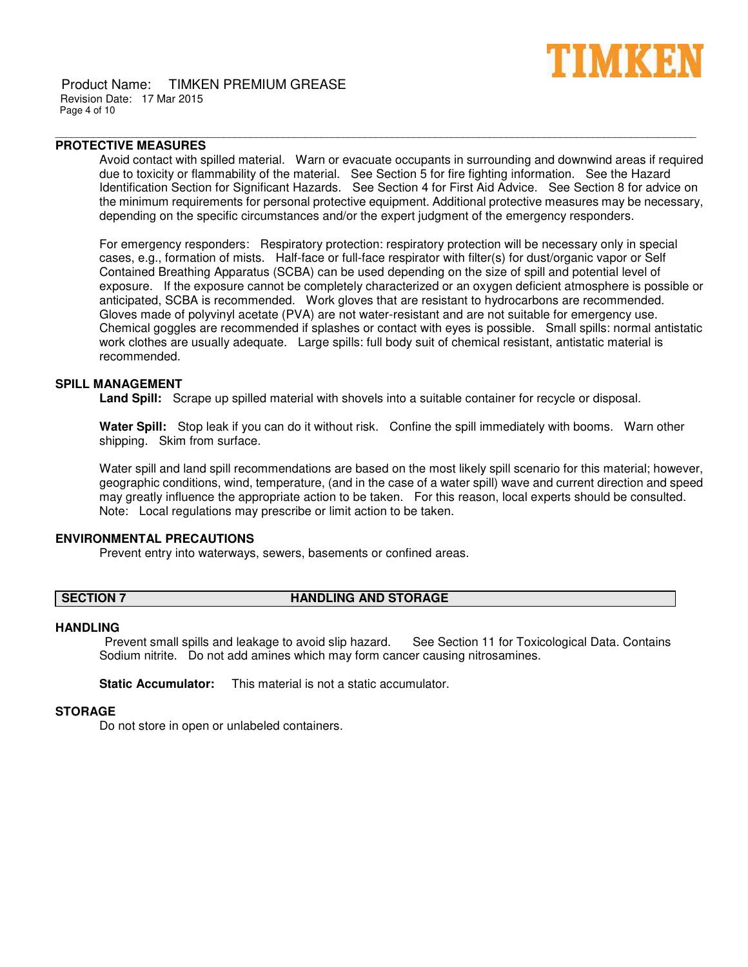

Product Name: TIMKEN PREMIUM GREASE Revision Date: 17 Mar 2015 Page 4 of 10

# **PROTECTIVE MEASURES**

Avoid contact with spilled material. Warn or evacuate occupants in surrounding and downwind areas if required due to toxicity or flammability of the material. See Section 5 for fire fighting information. See the Hazard Identification Section for Significant Hazards. See Section 4 for First Aid Advice. See Section 8 for advice on the minimum requirements for personal protective equipment. Additional protective measures may be necessary, depending on the specific circumstances and/or the expert judgment of the emergency responders.

\_\_\_\_\_\_\_\_\_\_\_\_\_\_\_\_\_\_\_\_\_\_\_\_\_\_\_\_\_\_\_\_\_\_\_\_\_\_\_\_\_\_\_\_\_\_\_\_\_\_\_\_\_\_\_\_\_\_\_\_\_\_\_\_\_\_\_\_\_\_\_\_\_\_\_\_\_\_\_\_\_\_\_\_\_\_\_\_\_\_\_\_\_\_\_\_\_\_\_\_\_\_\_\_\_\_\_\_\_\_\_\_\_\_\_\_\_\_

For emergency responders: Respiratory protection: respiratory protection will be necessary only in special cases, e.g., formation of mists. Half-face or full-face respirator with filter(s) for dust/organic vapor or Self Contained Breathing Apparatus (SCBA) can be used depending on the size of spill and potential level of exposure. If the exposure cannot be completely characterized or an oxygen deficient atmosphere is possible or anticipated, SCBA is recommended. Work gloves that are resistant to hydrocarbons are recommended. Gloves made of polyvinyl acetate (PVA) are not water-resistant and are not suitable for emergency use. Chemical goggles are recommended if splashes or contact with eyes is possible. Small spills: normal antistatic work clothes are usually adequate. Large spills: full body suit of chemical resistant, antistatic material is recommended.

# **SPILL MANAGEMENT**

**Land Spill:** Scrape up spilled material with shovels into a suitable container for recycle or disposal.

**Water Spill:** Stop leak if you can do it without risk. Confine the spill immediately with booms. Warn other shipping. Skim from surface.

Water spill and land spill recommendations are based on the most likely spill scenario for this material; however, geographic conditions, wind, temperature, (and in the case of a water spill) wave and current direction and speed may greatly influence the appropriate action to be taken. For this reason, local experts should be consulted. Note: Local regulations may prescribe or limit action to be taken.

# **ENVIRONMENTAL PRECAUTIONS**

Prevent entry into waterways, sewers, basements or confined areas.

# **SECTION 7 HANDLING AND STORAGE**

### **HANDLING**

Prevent small spills and leakage to avoid slip hazard. See Section 11 for Toxicological Data. Contains Sodium nitrite. Do not add amines which may form cancer causing nitrosamines.

**Static Accumulator:** This material is not a static accumulator.

# **STORAGE**

Do not store in open or unlabeled containers.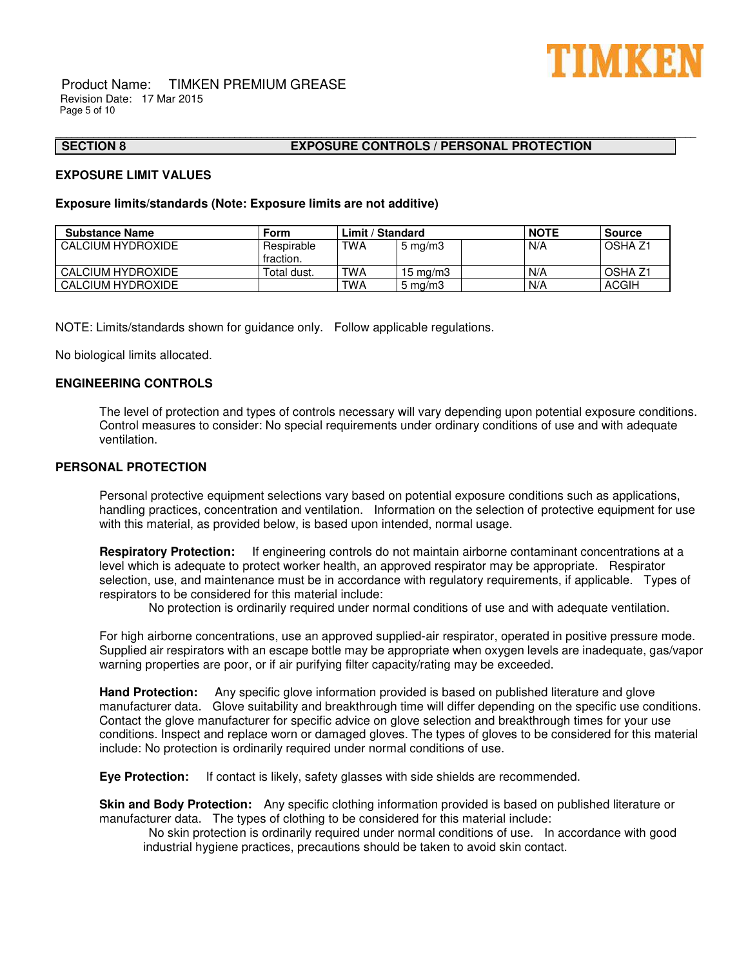

Product Name: TIMKEN PREMIUM GREASE Revision Date: 17 Mar 2015 Page 5 of 10

# **SECTION 8 EXPOSURE CONTROLS / PERSONAL PROTECTION**

# **EXPOSURE LIMIT VALUES**

### **Exposure limits/standards (Note: Exposure limits are not additive)**

| <b>Substance Name</b> | Form                    | Limit / Standard |                     | <b>NOTE</b> | <b>Source</b> |              |
|-----------------------|-------------------------|------------------|---------------------|-------------|---------------|--------------|
| I CALCIUM HYDROXIDE   | Respirable<br>fraction. | <b>TWA</b>       | $5 \,\mathrm{mg/m}$ |             | N/A           | OSHA Z1      |
| CALCIUM HYDROXIDE     | Total dust.             | <b>TWA</b>       | 15 mg/m $3$         |             | N/A           | OSHA Z1      |
| I CALCIUM HYDROXIDE   |                         | TWA              | $5 \text{ mg/m}$    |             | N/A           | <b>ACGIH</b> |

\_\_\_\_\_\_\_\_\_\_\_\_\_\_\_\_\_\_\_\_\_\_\_\_\_\_\_\_\_\_\_\_\_\_\_\_\_\_\_\_\_\_\_\_\_\_\_\_\_\_\_\_\_\_\_\_\_\_\_\_\_\_\_\_\_\_\_\_\_\_\_\_\_\_\_\_\_\_\_\_\_\_\_\_\_\_\_\_\_\_\_\_\_\_\_\_\_\_\_\_\_\_\_\_\_\_\_\_\_\_\_\_\_\_\_\_\_\_

NOTE: Limits/standards shown for guidance only. Follow applicable regulations.

No biological limits allocated.

# **ENGINEERING CONTROLS**

The level of protection and types of controls necessary will vary depending upon potential exposure conditions. Control measures to consider: No special requirements under ordinary conditions of use and with adequate ventilation.

# **PERSONAL PROTECTION**

Personal protective equipment selections vary based on potential exposure conditions such as applications, handling practices, concentration and ventilation. Information on the selection of protective equipment for use with this material, as provided below, is based upon intended, normal usage.

**Respiratory Protection:** If engineering controls do not maintain airborne contaminant concentrations at a level which is adequate to protect worker health, an approved respirator may be appropriate. Respirator selection, use, and maintenance must be in accordance with regulatory requirements, if applicable. Types of respirators to be considered for this material include:

No protection is ordinarily required under normal conditions of use and with adequate ventilation.

For high airborne concentrations, use an approved supplied-air respirator, operated in positive pressure mode. Supplied air respirators with an escape bottle may be appropriate when oxygen levels are inadequate, gas/vapor warning properties are poor, or if air purifying filter capacity/rating may be exceeded.

**Hand Protection:** Any specific glove information provided is based on published literature and glove manufacturer data. Glove suitability and breakthrough time will differ depending on the specific use conditions. Contact the glove manufacturer for specific advice on glove selection and breakthrough times for your use conditions. Inspect and replace worn or damaged gloves. The types of gloves to be considered for this material include: No protection is ordinarily required under normal conditions of use.

**Eye Protection:** If contact is likely, safety glasses with side shields are recommended.

**Skin and Body Protection:** Any specific clothing information provided is based on published literature or manufacturer data. The types of clothing to be considered for this material include:

No skin protection is ordinarily required under normal conditions of use. In accordance with good industrial hygiene practices, precautions should be taken to avoid skin contact.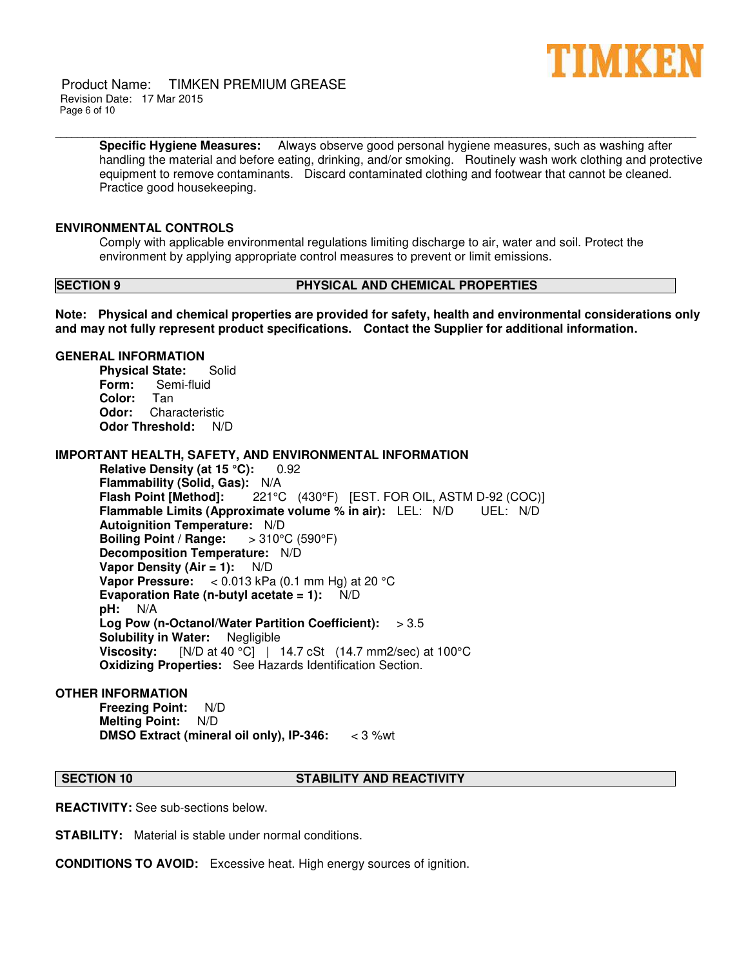

Product Name: TIMKEN PREMIUM GREASE Revision Date: 17 Mar 2015 Page 6 of 10

> **Specific Hygiene Measures:** Always observe good personal hygiene measures, such as washing after handling the material and before eating, drinking, and/or smoking. Routinely wash work clothing and protective equipment to remove contaminants. Discard contaminated clothing and footwear that cannot be cleaned. Practice good housekeeping.

### **ENVIRONMENTAL CONTROLS**

Comply with applicable environmental regulations limiting discharge to air, water and soil. Protect the environment by applying appropriate control measures to prevent or limit emissions.

\_\_\_\_\_\_\_\_\_\_\_\_\_\_\_\_\_\_\_\_\_\_\_\_\_\_\_\_\_\_\_\_\_\_\_\_\_\_\_\_\_\_\_\_\_\_\_\_\_\_\_\_\_\_\_\_\_\_\_\_\_\_\_\_\_\_\_\_\_\_\_\_\_\_\_\_\_\_\_\_\_\_\_\_\_\_\_\_\_\_\_\_\_\_\_\_\_\_\_\_\_\_\_\_\_\_\_\_\_\_\_\_\_\_\_\_\_\_

# **SECTION 9 PHYSICAL AND CHEMICAL PROPERTIES**

**Note: Physical and chemical properties are provided for safety, health and environmental considerations only and may not fully represent product specifications. Contact the Supplier for additional information.**

### **GENERAL INFORMATION**

**Physical State:** Solid **Form:** Semi-fluid **Color:** Tan **Odor:** Characteristic **Odor Threshold:** N/D

### **IMPORTANT HEALTH, SAFETY, AND ENVIRONMENTAL INFORMATION**

**Relative Density (at 15 °C):** 0.92 **Flammability (Solid, Gas): N/A**<br>**Flash Point [Method]:** 221° **Flash Point [Method]:** 221°C (430°F) [EST. FOR OIL, ASTM D-92 (COC)] **Flammable Limits (Approximate volume % in air):** LEL: N/D UEL: N/D **Autoignition Temperature:** N/D **Boiling Point / Range: Decomposition Temperature:** N/D **Vapor Density (Air = 1):** N/D **Vapor Pressure:** < 0.013 kPa (0.1 mm Hg) at 20 °C **Evaporation Rate (n-butyl acetate = 1):** N/D **pH:** N/A **Log Pow (n-Octanol/Water Partition Coefficient):** > 3.5 **Solubility in Water:** Negligible **Viscosity:** [N/D at 40 °C] | 14.7 cSt (14.7 mm2/sec) at 100°C **Oxidizing Properties:** See Hazards Identification Section.

# **OTHER INFORMATION**

**Freezing Point:** N/D **Melting Point:** N/D **DMSO Extract (mineral oil only), IP-346:** < 3 %wt

### **SECTION 10 STABILITY AND REACTIVITY**

**REACTIVITY:** See sub-sections below.

**STABILITY:** Material is stable under normal conditions.

**CONDITIONS TO AVOID:** Excessive heat. High energy sources of ignition.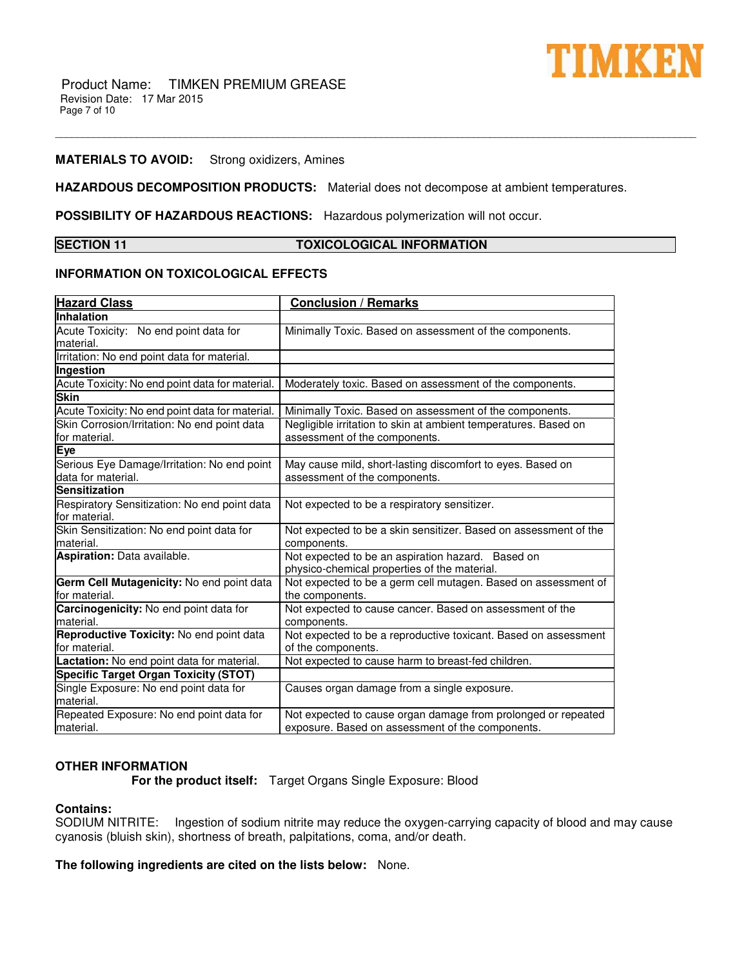

### **MATERIALS TO AVOID:** Strong oxidizers, Amines

**HAZARDOUS DECOMPOSITION PRODUCTS:** Material does not decompose at ambient temperatures.

**POSSIBILITY OF HAZARDOUS REACTIONS:** Hazardous polymerization will not occur.

# **SECTION 11 TOXICOLOGICAL INFORMATION**

\_\_\_\_\_\_\_\_\_\_\_\_\_\_\_\_\_\_\_\_\_\_\_\_\_\_\_\_\_\_\_\_\_\_\_\_\_\_\_\_\_\_\_\_\_\_\_\_\_\_\_\_\_\_\_\_\_\_\_\_\_\_\_\_\_\_\_\_\_\_\_\_\_\_\_\_\_\_\_\_\_\_\_\_\_\_\_\_\_\_\_\_\_\_\_\_\_\_\_\_\_\_\_\_\_\_\_\_\_\_\_\_\_\_\_\_\_\_

### **INFORMATION ON TOXICOLOGICAL EFFECTS**

| <b>Hazard Class</b>                                               | <b>Conclusion / Remarks</b>                                                                                       |
|-------------------------------------------------------------------|-------------------------------------------------------------------------------------------------------------------|
| Inhalation                                                        |                                                                                                                   |
| Acute Toxicity: No end point data for<br>material.                | Minimally Toxic. Based on assessment of the components.                                                           |
| Irritation: No end point data for material.                       |                                                                                                                   |
| Ingestion                                                         |                                                                                                                   |
| Acute Toxicity: No end point data for material.                   | Moderately toxic. Based on assessment of the components.                                                          |
| Skin                                                              |                                                                                                                   |
| Acute Toxicity: No end point data for material.                   | Minimally Toxic. Based on assessment of the components.                                                           |
| Skin Corrosion/Irritation: No end point data<br>for material.     | Negligible irritation to skin at ambient temperatures. Based on<br>assessment of the components.                  |
| Eye                                                               |                                                                                                                   |
| Serious Eye Damage/Irritation: No end point<br>data for material. | May cause mild, short-lasting discomfort to eyes. Based on<br>assessment of the components.                       |
| <b>Sensitization</b>                                              |                                                                                                                   |
| Respiratory Sensitization: No end point data<br>for material.     | Not expected to be a respiratory sensitizer.                                                                      |
| Skin Sensitization: No end point data for<br>material.            | Not expected to be a skin sensitizer. Based on assessment of the<br>components.                                   |
| Aspiration: Data available.                                       | Not expected to be an aspiration hazard. Based on<br>physico-chemical properties of the material.                 |
| Germ Cell Mutagenicity: No end point data<br>for material.        | Not expected to be a germ cell mutagen. Based on assessment of<br>the components.                                 |
| Carcinogenicity: No end point data for<br>material.               | Not expected to cause cancer. Based on assessment of the<br>components.                                           |
| Reproductive Toxicity: No end point data<br>for material.         | Not expected to be a reproductive toxicant. Based on assessment<br>of the components.                             |
| Lactation: No end point data for material.                        | Not expected to cause harm to breast-fed children.                                                                |
| <b>Specific Target Organ Toxicity (STOT)</b>                      |                                                                                                                   |
| Single Exposure: No end point data for<br>material.               | Causes organ damage from a single exposure.                                                                       |
| Repeated Exposure: No end point data for<br>lmaterial.            | Not expected to cause organ damage from prolonged or repeated<br>exposure. Based on assessment of the components. |

# **OTHER INFORMATION**

 **For the product itself:** Target Organs Single Exposure: Blood

# **Contains:**

SODIUM NITRITE: Ingestion of sodium nitrite may reduce the oxygen-carrying capacity of blood and may cause cyanosis (bluish skin), shortness of breath, palpitations, coma, and/or death.

**The following ingredients are cited on the lists below:** None.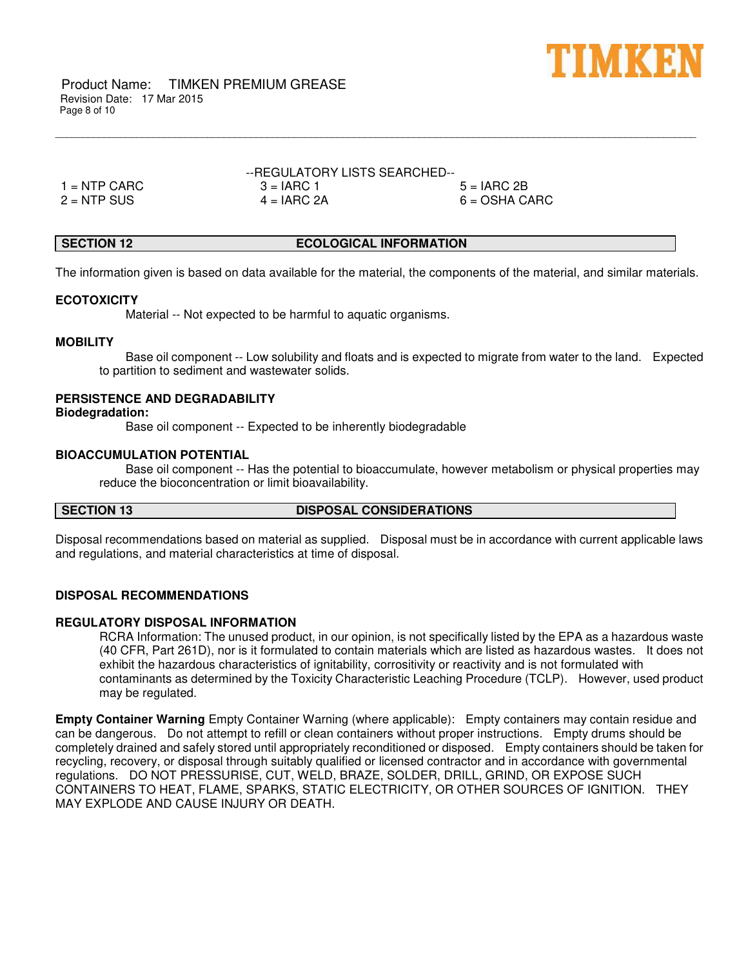

Product Name: TIMKEN PREMIUM GREASE Revision Date: 17 Mar 2015 Page 8 of 10

| --REGULATORY LISTS SEARCHED-- |               |                 |  |  |
|-------------------------------|---------------|-----------------|--|--|
| 1 = NTP CARC_                 | $3 = IARC 1$  | $5 = IARC 2B$   |  |  |
| 2 = NTP SUS                   | $4 = IARC 2A$ | $6 = OSHA CARC$ |  |  |

# **SECTION 12 ECOLOGICAL INFORMATION**

\_\_\_\_\_\_\_\_\_\_\_\_\_\_\_\_\_\_\_\_\_\_\_\_\_\_\_\_\_\_\_\_\_\_\_\_\_\_\_\_\_\_\_\_\_\_\_\_\_\_\_\_\_\_\_\_\_\_\_\_\_\_\_\_\_\_\_\_\_\_\_\_\_\_\_\_\_\_\_\_\_\_\_\_\_\_\_\_\_\_\_\_\_\_\_\_\_\_\_\_\_\_\_\_\_\_\_\_\_\_\_\_\_\_\_\_\_\_

The information given is based on data available for the material, the components of the material, and similar materials.

### **ECOTOXICITY**

Material -- Not expected to be harmful to aquatic organisms.

# **MOBILITY**

 Base oil component -- Low solubility and floats and is expected to migrate from water to the land. Expected to partition to sediment and wastewater solids.

# **PERSISTENCE AND DEGRADABILITY**

#### **Biodegradation:**

Base oil component -- Expected to be inherently biodegradable

### **BIOACCUMULATION POTENTIAL**

 Base oil component -- Has the potential to bioaccumulate, however metabolism or physical properties may reduce the bioconcentration or limit bioavailability.

# **SECTION 13 DISPOSAL CONSIDERATIONS**

Disposal recommendations based on material as supplied. Disposal must be in accordance with current applicable laws and regulations, and material characteristics at time of disposal.

# **DISPOSAL RECOMMENDATIONS**

### **REGULATORY DISPOSAL INFORMATION**

RCRA Information: The unused product, in our opinion, is not specifically listed by the EPA as a hazardous waste (40 CFR, Part 261D), nor is it formulated to contain materials which are listed as hazardous wastes. It does not exhibit the hazardous characteristics of ignitability, corrositivity or reactivity and is not formulated with contaminants as determined by the Toxicity Characteristic Leaching Procedure (TCLP). However, used product may be regulated.

**Empty Container Warning** Empty Container Warning (where applicable): Empty containers may contain residue and can be dangerous. Do not attempt to refill or clean containers without proper instructions. Empty drums should be completely drained and safely stored until appropriately reconditioned or disposed. Empty containers should be taken for recycling, recovery, or disposal through suitably qualified or licensed contractor and in accordance with governmental regulations. DO NOT PRESSURISE, CUT, WELD, BRAZE, SOLDER, DRILL, GRIND, OR EXPOSE SUCH CONTAINERS TO HEAT, FLAME, SPARKS, STATIC ELECTRICITY, OR OTHER SOURCES OF IGNITION. THEY MAY EXPLODE AND CAUSE INJURY OR DEATH.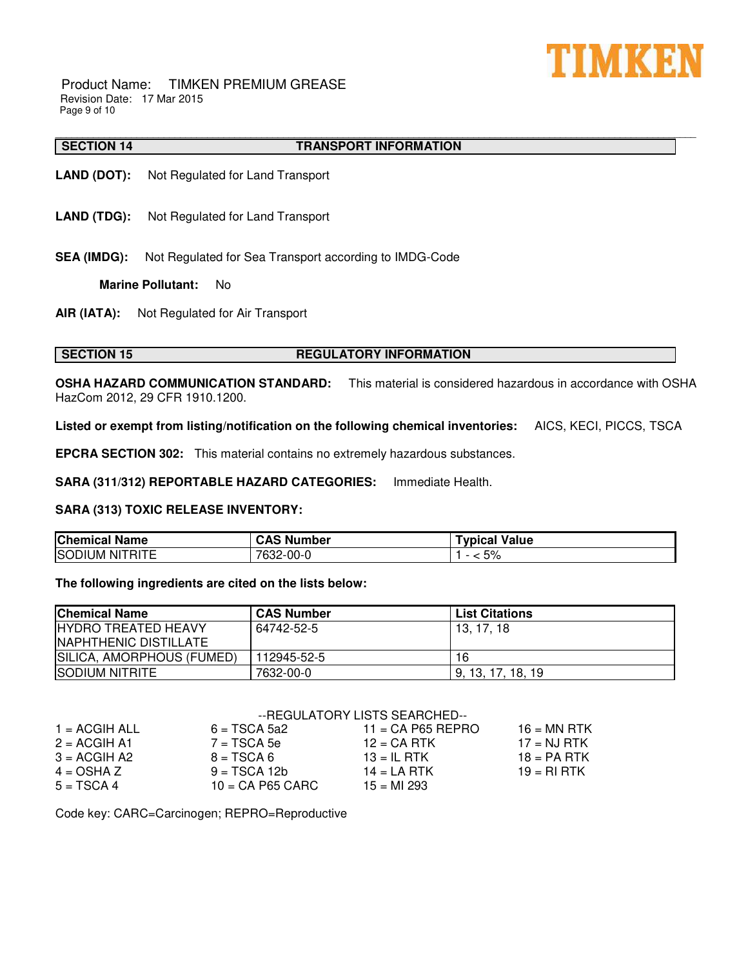

Product Name: TIMKEN PREMIUM GREASE Revision Date: 17 Mar 2015 Page 9 of 10

#### \_\_\_\_\_\_\_\_\_\_\_\_\_\_\_\_\_\_\_\_\_\_\_\_\_\_\_\_\_\_\_\_\_\_\_\_\_\_\_\_\_\_\_\_\_\_\_\_\_\_\_\_\_\_\_\_\_\_\_\_\_\_\_\_\_\_\_\_\_\_\_\_\_\_\_\_\_\_\_\_\_\_\_\_\_\_\_\_\_\_\_\_\_\_\_\_\_\_\_\_\_\_\_\_\_\_\_\_\_\_\_\_\_\_\_\_\_\_ **SECTION 14 TRANSPORT INFORMATION**

- **LAND (DOT):** Not Regulated for Land Transport
- **LAND (TDG):** Not Regulated for Land Transport
- **SEA (IMDG):** Not Regulated for Sea Transport according to IMDG-Code

**Marine Pollutant:** No

**AIR (IATA):** Not Regulated for Air Transport

# **SECTION 15 REGULATORY INFORMATION**

**OSHA HAZARD COMMUNICATION STANDARD:** This material is considered hazardous in accordance with OSHA HazCom 2012, 29 CFR 1910.1200.

**Listed or exempt from listing/notification on the following chemical inventories:** AICS, KECI, PICCS, TSCA

**EPCRA SECTION 302:** This material contains no extremely hazardous substances.

**SARA (311/312) REPORTABLE HAZARD CATEGORIES:** Immediate Health.

# **SARA (313) TOXIC RELEASE INVENTORY:**

| <b>Chemical Name</b>                       | <b>Number</b><br>CAS | Value<br>⊺vpical        |
|--------------------------------------------|----------------------|-------------------------|
| <b>ISOL</b><br>--<br>Nľ<br>JIUM-<br>'RII E | აკ2-00-Ր<br>7000     | $F^{\wedge}$<br>70<br>ີ |

# **The following ingredients are cited on the lists below:**

| <b>Chemical Name</b>        | <b>CAS Number</b> | <b>List Citations</b> |
|-----------------------------|-------------------|-----------------------|
| <b>IHYDRO TREATED HEAVY</b> | 64742-52-5        | 13.17.18              |
| INAPHTHENIC DISTILLATE      |                   |                       |
| SILICA, AMORPHOUS (FUMED)   | 112945-52-5       | 16                    |
| <b>SODIUM NITRITE</b>       | 7632-00-0         | 9, 13, 17, 18, 19     |

# --REGULATORY LISTS SEARCHED--

| $1 = ACGH ALL$ | $6 = TSCA 5a2$     | $11 = CA$ P65 REPRO | $16$ = MN RTK |
|----------------|--------------------|---------------------|---------------|
| $2 = ACGIH A1$ | $7 = TSCA5e$       | $12$ = CA RTK       | $17 = NJ$ RTK |
| $3 = ACGIH A2$ | $B = TSCA6$        | $13 = IL$ RTK       | $18 = PA$ RTK |
| $4 = OSHA Z$   | $9 = TSCA 12b$     | $14 = LA$ RTK       | $19 = RI RTK$ |
| $5 = TSCA4$    | $10 = CA$ P65 CARC | $15 = M1 293$       |               |

Code key: CARC=Carcinogen; REPRO=Reproductive